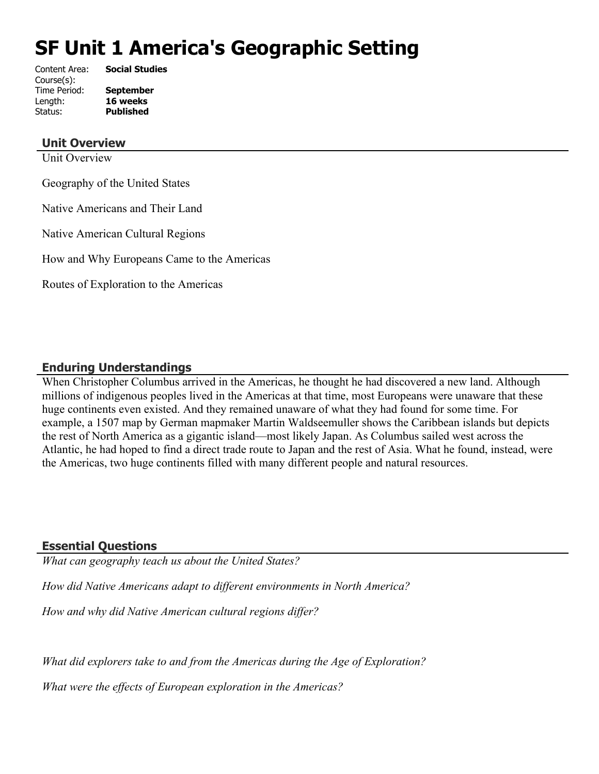# **SF Unit 1 America's Geographic Setting**

| Content Area: | <b>Social Studies</b> |
|---------------|-----------------------|
| Course(s):    |                       |
| Time Period:  | <b>September</b>      |
| Length:       | 16 weeks              |
| Status:       | <b>Published</b>      |
|               |                       |

#### **Unit Overview**

Unit Overview

Geography of the United States

Native Americans and Their Land

Native American Cultural Regions

How and Why Europeans Came to the Americas

Routes of Exploration to the Americas

# **Enduring Understandings**

When Christopher Columbus arrived in the Americas, he thought he had discovered a new land. Although millions of indigenous peoples lived in the Americas at that time, most Europeans were unaware that these huge continents even existed. And they remained unaware of what they had found for some time. For example, a 1507 map by German mapmaker Martin Waldseemuller shows the Caribbean islands but depicts the rest of North America as a gigantic island—most likely Japan. As Columbus sailed west across the Atlantic, he had hoped to find a direct trade route to Japan and the rest of Asia. What he found, instead, were the Americas, two huge continents filled with many different people and natural resources.

#### **Essential Questions**

*What can geography teach us about the United States?*

*How did Native Americans adapt to different environments in North America?*

*How and why did Native American cultural regions differ?*

*What did explorers take to and from the Americas during the Age of Exploration?*

*What were the effects of European exploration in the Americas?*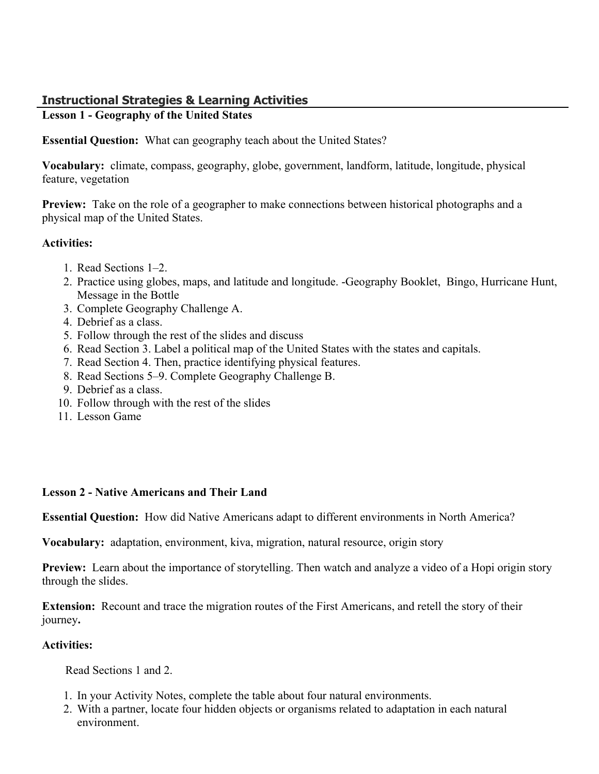# **Instructional Strategies & Learning Activities**

# **Lesson 1 - Geography of the United States**

**Essential Question:** What can geography teach about the United States?

**Vocabulary:** climate, compass, geography, globe, government, landform, latitude, longitude, physical feature, vegetation

**Preview:** Take on the role of a geographer to make connections between historical photographs and a physical map of the United States.

## **Activities:**

- 1. Read Sections 1–2.
- 2. Practice using globes, maps, and latitude and longitude. -Geography Booklet, Bingo, Hurricane Hunt, Message in the Bottle
- 3. Complete Geography Challenge A.
- 4. Debrief as a class.
- 5. Follow through the rest of the slides and discuss
- 6. Read Section 3. Label a political map of the United States with the states and capitals.
- 7. Read Section 4. Then, practice identifying physical features.
- 8. Read Sections 5–9. Complete Geography Challenge B.
- 9. Debrief as a class.
- 10. Follow through with the rest of the slides
- 11. Lesson Game

# **Lesson 2 - Native Americans and Their Land**

**Essential Question:** How did Native Americans adapt to different environments in North America?

**Vocabulary:** adaptation, environment, kiva, migration, natural resource, origin story

**Preview:** Learn about the importance of storytelling. Then watch and analyze a video of a Hopi origin story through the slides.

**Extension:** Recount and trace the migration routes of the First Americans, and retell the story of their journey**.**

# **Activities:**

Read Sections 1 and 2.

- 1. In your Activity Notes, complete the table about four natural environments.
- 2. With a partner, locate four hidden objects or organisms related to adaptation in each natural environment.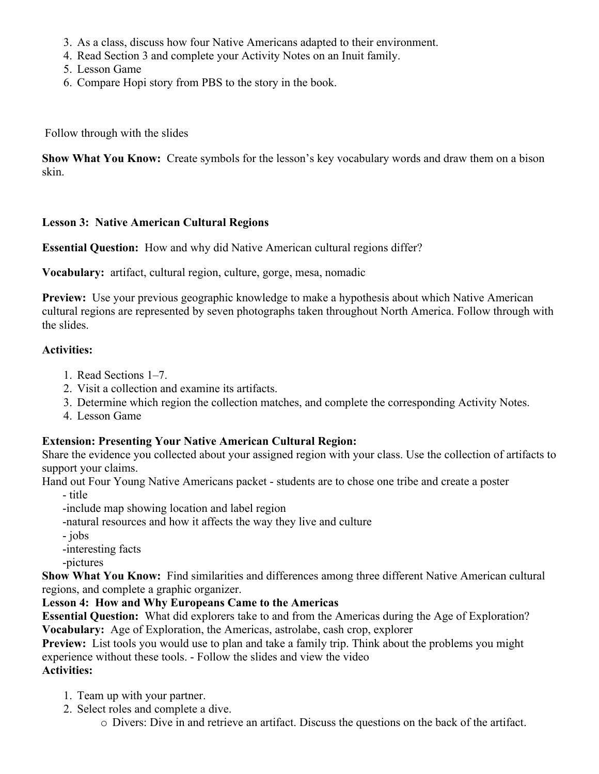- 3. As a class, discuss how four Native Americans adapted to their environment.
- 4. Read Section 3 and complete your Activity Notes on an Inuit family.
- 5. Lesson Game
- 6. Compare Hopi story from PBS to the story in the book.

Follow through with the slides

**Show What You Know:** Create symbols for the lesson's key vocabulary words and draw them on a bison skin.

## **Lesson 3: Native American Cultural Regions**

**Essential Question:** How and why did Native American cultural regions differ?

**Vocabulary:** artifact, cultural region, culture, gorge, mesa, nomadic

**Preview:** Use your previous geographic knowledge to make a hypothesis about which Native American cultural regions are represented by seven photographs taken throughout North America. Follow through with the slides.

## **Activities:**

- 1. Read Sections 1–7.
- 2. Visit a collection and examine its artifacts.
- 3. Determine which region the collection matches, and complete the corresponding Activity Notes.
- 4. Lesson Game

# **Extension: Presenting Your Native American Cultural Region:**

Share the evidence you collected about your assigned region with your class. Use the collection of artifacts to support your claims.

Hand out Four Young Native Americans packet - students are to chose one tribe and create a poster

- title

-include map showing location and label region

-natural resources and how it affects the way they live and culture

- jobs

-interesting facts

-pictures

**Show What You Know:** Find similarities and differences among three different Native American cultural regions, and complete a graphic organizer.

# **Lesson 4: How and Why Europeans Came to the Americas**

**Essential Question:** What did explorers take to and from the Americas during the Age of Exploration? **Vocabulary:** Age of Exploration, the Americas, astrolabe, cash crop, explorer

**Preview:** List tools you would use to plan and take a family trip. Think about the problems you might experience without these tools. - Follow the slides and view the video

# **Activities:**

- 1. Team up with your partner.
- 2. Select roles and complete a dive.
	- o Divers: Dive in and retrieve an artifact. Discuss the questions on the back of the artifact.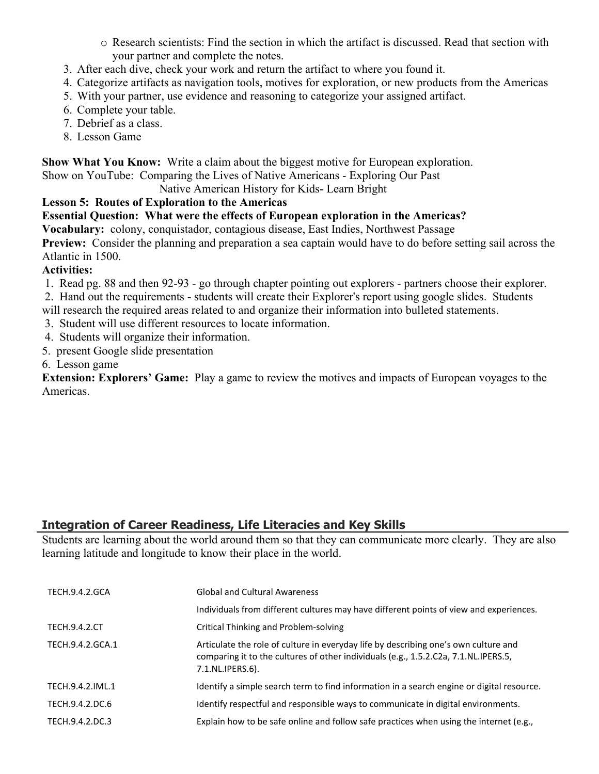- o Research scientists: Find the section in which the artifact is discussed. Read that section with your partner and complete the notes.
- 3. After each dive, check your work and return the artifact to where you found it.
- 4. Categorize artifacts as navigation tools, motives for exploration, or new products from the Americas
- 5. With your partner, use evidence and reasoning to categorize your assigned artifact.
- 6. Complete your table.
- 7. Debrief as a class.
- 8. Lesson Game

**Show What You Know:** Write a claim about the biggest motive for European exploration.

Show on YouTube: Comparing the Lives of Native Americans - Exploring Our Past

#### Native American History for Kids- Learn Bright

# **Lesson 5: Routes of Exploration to the Americas**

**Essential Question: What were the effects of European exploration in the Americas?**

**Vocabulary:** colony, conquistador, contagious disease, East Indies, Northwest Passage

**Preview:** Consider the planning and preparation a sea captain would have to do before setting sail across the Atlantic in 1500.

# **Activities:**

- 1. Read pg. 88 and then 92-93 go through chapter pointing out explorers partners choose their explorer.
- 2. Hand out the requirements students will create their Explorer's report using google slides. Students
- will research the required areas related to and organize their information into bulleted statements.
- 3. Student will use different resources to locate information.
- 4. Students will organize their information.
- 5. present Google slide presentation
- 6. Lesson game

**Extension: Explorers' Game:** Play a game to review the motives and impacts of European voyages to the Americas.

# **Integration of Career Readiness, Life Literacies and Key Skills**

Students are learning about the world around them so that they can communicate more clearly. They are also learning latitude and longitude to know their place in the world.

| TECH.9.4.2.GCA       | <b>Global and Cultural Awareness</b>                                                                                                                                                           |
|----------------------|------------------------------------------------------------------------------------------------------------------------------------------------------------------------------------------------|
|                      | Individuals from different cultures may have different points of view and experiences.                                                                                                         |
| <b>TECH.9.4.2.CT</b> | <b>Critical Thinking and Problem-solving</b>                                                                                                                                                   |
| TECH.9.4.2.GCA.1     | Articulate the role of culture in everyday life by describing one's own culture and<br>comparing it to the cultures of other individuals (e.g., 1.5.2.C2a, 7.1.NL.IPERS.5,<br>7.1.NL.IPERS.6). |
| TECH.9.4.2.IML.1     | Identify a simple search term to find information in a search engine or digital resource.                                                                                                      |
| TECH.9.4.2.DC.6      | Identify respectful and responsible ways to communicate in digital environments.                                                                                                               |
| TECH.9.4.2.DC.3      | Explain how to be safe online and follow safe practices when using the internet (e.g.,                                                                                                         |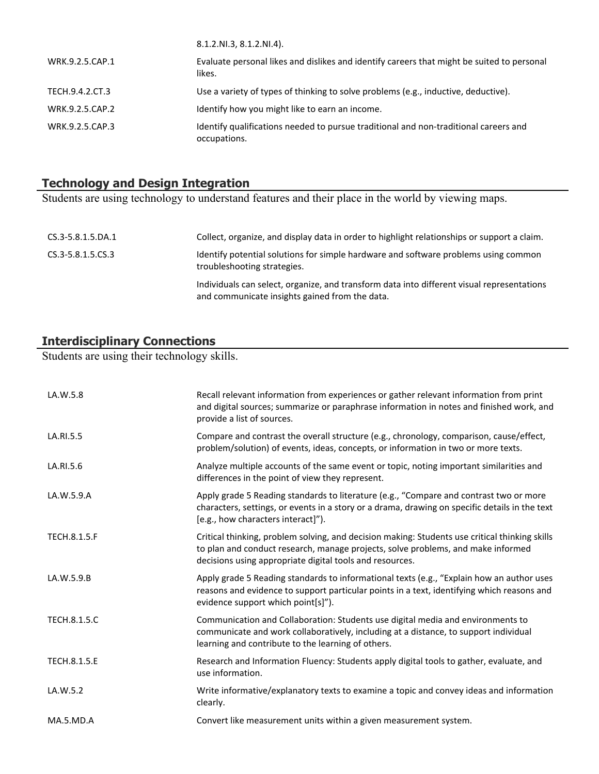|                 | 8.1.2.NI.3, 8.1.2.NI.4).                                                                             |
|-----------------|------------------------------------------------------------------------------------------------------|
| WRK.9.2.5.CAP.1 | Evaluate personal likes and dislikes and identify careers that might be suited to personal<br>likes. |
| TECH.9.4.2.CT.3 | Use a variety of types of thinking to solve problems (e.g., inductive, deductive).                   |
| WRK.9.2.5.CAP.2 | Identify how you might like to earn an income.                                                       |
| WRK.9.2.5.CAP.3 | Identify qualifications needed to pursue traditional and non-traditional careers and<br>occupations. |

#### **Technology and Design Integration**

Students are using technology to understand features and their place in the world by viewing maps.

| CS.3-5.8.1.5.DA.1 | Collect, organize, and display data in order to highlight relationships or support a claim.                                                  |
|-------------------|----------------------------------------------------------------------------------------------------------------------------------------------|
| CS.3-5.8.1.5.CS.3 | Identify potential solutions for simple hardware and software problems using common<br>troubleshooting strategies.                           |
|                   | Individuals can select, organize, and transform data into different visual representations<br>and communicate insights gained from the data. |

#### **Interdisciplinary Connections**

Students are using their technology skills.

| LA.W.5.8            | Recall relevant information from experiences or gather relevant information from print<br>and digital sources; summarize or paraphrase information in notes and finished work, and<br>provide a list of sources.                               |
|---------------------|------------------------------------------------------------------------------------------------------------------------------------------------------------------------------------------------------------------------------------------------|
| LA.RI.5.5           | Compare and contrast the overall structure (e.g., chronology, comparison, cause/effect,<br>problem/solution) of events, ideas, concepts, or information in two or more texts.                                                                  |
| LA.RI.5.6           | Analyze multiple accounts of the same event or topic, noting important similarities and<br>differences in the point of view they represent.                                                                                                    |
| LA.W.5.9.A          | Apply grade 5 Reading standards to literature (e.g., "Compare and contrast two or more<br>characters, settings, or events in a story or a drama, drawing on specific details in the text<br>[e.g., how characters interact]").                 |
| <b>TECH.8.1.5.F</b> | Critical thinking, problem solving, and decision making: Students use critical thinking skills<br>to plan and conduct research, manage projects, solve problems, and make informed<br>decisions using appropriate digital tools and resources. |
| LA.W.5.9.B          | Apply grade 5 Reading standards to informational texts (e.g., "Explain how an author uses<br>reasons and evidence to support particular points in a text, identifying which reasons and<br>evidence support which point[s]").                  |
| <b>TECH.8.1.5.C</b> | Communication and Collaboration: Students use digital media and environments to<br>communicate and work collaboratively, including at a distance, to support individual<br>learning and contribute to the learning of others.                  |
| TECH.8.1.5.E        | Research and Information Fluency: Students apply digital tools to gather, evaluate, and<br>use information.                                                                                                                                    |
| LA.W.5.2            | Write informative/explanatory texts to examine a topic and convey ideas and information<br>clearly.                                                                                                                                            |
| MA.5.MD.A           | Convert like measurement units within a given measurement system.                                                                                                                                                                              |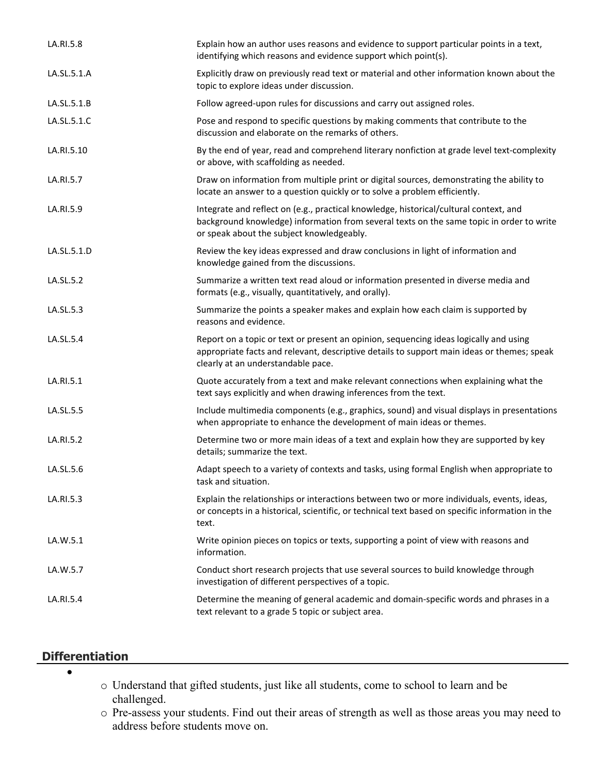| LA.RI.5.8   | Explain how an author uses reasons and evidence to support particular points in a text,<br>identifying which reasons and evidence support which point(s).                                                                      |
|-------------|--------------------------------------------------------------------------------------------------------------------------------------------------------------------------------------------------------------------------------|
| LA.SL.5.1.A | Explicitly draw on previously read text or material and other information known about the<br>topic to explore ideas under discussion.                                                                                          |
| LA.SL.5.1.B | Follow agreed-upon rules for discussions and carry out assigned roles.                                                                                                                                                         |
| LA.SL.5.1.C | Pose and respond to specific questions by making comments that contribute to the<br>discussion and elaborate on the remarks of others.                                                                                         |
| LA.RI.5.10  | By the end of year, read and comprehend literary nonfiction at grade level text-complexity<br>or above, with scaffolding as needed.                                                                                            |
| LA.RI.5.7   | Draw on information from multiple print or digital sources, demonstrating the ability to<br>locate an answer to a question quickly or to solve a problem efficiently.                                                          |
| LA.RI.5.9   | Integrate and reflect on (e.g., practical knowledge, historical/cultural context, and<br>background knowledge) information from several texts on the same topic in order to write<br>or speak about the subject knowledgeably. |
| LA.SL.5.1.D | Review the key ideas expressed and draw conclusions in light of information and<br>knowledge gained from the discussions.                                                                                                      |
| LA.SL.5.2   | Summarize a written text read aloud or information presented in diverse media and<br>formats (e.g., visually, quantitatively, and orally).                                                                                     |
| LA.SL.5.3   | Summarize the points a speaker makes and explain how each claim is supported by<br>reasons and evidence.                                                                                                                       |
| LA.SL.5.4   | Report on a topic or text or present an opinion, sequencing ideas logically and using<br>appropriate facts and relevant, descriptive details to support main ideas or themes; speak<br>clearly at an understandable pace.      |
| LA.RI.5.1   | Quote accurately from a text and make relevant connections when explaining what the<br>text says explicitly and when drawing inferences from the text.                                                                         |
| LA.SL.5.5   | Include multimedia components (e.g., graphics, sound) and visual displays in presentations<br>when appropriate to enhance the development of main ideas or themes.                                                             |
| LA.RI.5.2   | Determine two or more main ideas of a text and explain how they are supported by key<br>details; summarize the text.                                                                                                           |
| LA.SL.5.6   | Adapt speech to a variety of contexts and tasks, using formal English when appropriate to<br>task and situation.                                                                                                               |
| LA.RI.5.3   | Explain the relationships or interactions between two or more individuals, events, ideas,<br>or concepts in a historical, scientific, or technical text based on specific information in the<br>text.                          |
| LA.W.5.1    | Write opinion pieces on topics or texts, supporting a point of view with reasons and<br>information.                                                                                                                           |
| LA.W.5.7    | Conduct short research projects that use several sources to build knowledge through<br>investigation of different perspectives of a topic.                                                                                     |
| LA.RI.5.4   | Determine the meaning of general academic and domain-specific words and phrases in a<br>text relevant to a grade 5 topic or subject area.                                                                                      |

# **Differentiation**

 $\bullet$ 

- o Understand that gifted students, just like all students, come to school to learn and be challenged.
- o Pre-assess your students. Find out their areas of strength as well as those areas you may need to address before students move on.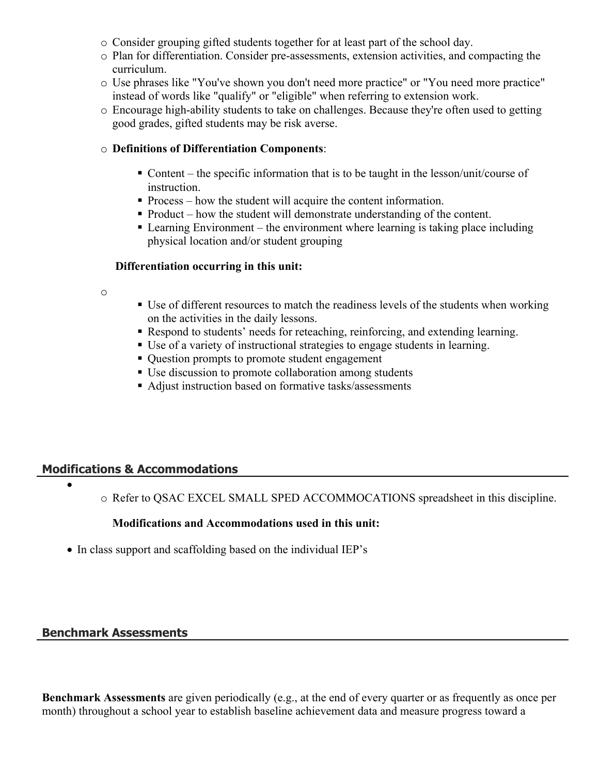- o Consider grouping gifted students together for at least part of the school day.
- o Plan for differentiation. Consider pre-assessments, extension activities, and compacting the curriculum.
- o Use phrases like "You've shown you don't need more practice" or "You need more practice" instead of words like "qualify" or "eligible" when referring to extension work.
- o Encourage high-ability students to take on challenges. Because they're often used to getting good grades, gifted students may be risk averse.

#### o **Definitions of Differentiation Components**:

- Content the specific information that is to be taught in the lesson/unit/course of instruction.
- Process how the student will acquire the content information.
- Product how the student will demonstrate understanding of the content.
- Learning Environment the environment where learning is taking place including physical location and/or student grouping

#### **Differentiation occurring in this unit:**

- o
- Use of different resources to match the readiness levels of the students when working on the activities in the daily lessons.
- Respond to students' needs for reteaching, reinforcing, and extending learning.
- Use of a variety of instructional strategies to engage students in learning.
- Question prompts to promote student engagement
- Use discussion to promote collaboration among students
- Adjust instruction based on formative tasks/assessments

#### **Modifications & Accommodations**

 $\bullet$ 

o Refer to QSAC EXCEL SMALL SPED ACCOMMOCATIONS spreadsheet in this discipline.

**Modifications and Accommodations used in this unit:**

• In class support and scaffolding based on the individual IEP's

#### **Benchmark Assessments**

**Benchmark Assessments** are given periodically (e.g., at the end of every quarter or as frequently as once per month) throughout a school year to establish baseline achievement data and measure progress toward a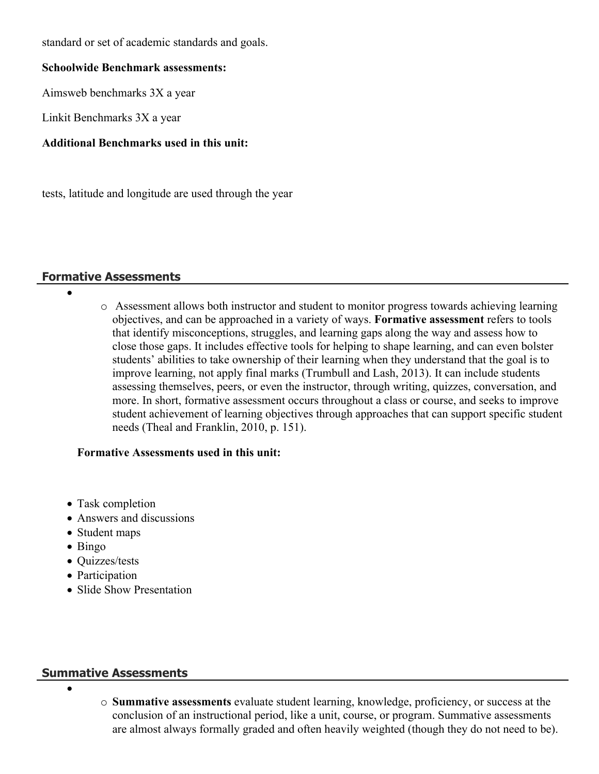standard or set of academic standards and goals.

#### **Schoolwide Benchmark assessments:**

Aimsweb benchmarks 3X a year

Linkit Benchmarks 3X a year

#### **Additional Benchmarks used in this unit:**

tests, latitude and longitude are used through the year

#### **Formative Assessments**

- $\bullet$
- o Assessment allows both instructor and student to monitor progress towards achieving learning objectives, and can be approached in a variety of ways. **Formative assessment** refers to tools that identify misconceptions, struggles, and learning gaps along the way and assess how to close those gaps. It includes effective tools for helping to shape learning, and can even bolster students' abilities to take ownership of their learning when they understand that the goal is to improve learning, not apply final marks (Trumbull and Lash, 2013). It can include students assessing themselves, peers, or even the instructor, through writing, quizzes, conversation, and more. In short, formative assessment occurs throughout a class or course, and seeks to improve student achievement of learning objectives through approaches that can support specific student needs (Theal and Franklin, 2010, p. 151).

#### **Formative Assessments used in this unit:**

- Task completion
- Answers and discussions
- Student maps
- Bingo
- Quizzes/tests
- Participation
- Slide Show Presentation

#### **Summative Assessments**

- $\bullet$
- o **Summative assessments** evaluate student learning, knowledge, proficiency, or success at the conclusion of an instructional period, like a unit, course, or program. Summative assessments are almost always formally graded and often heavily weighted (though they do not need to be).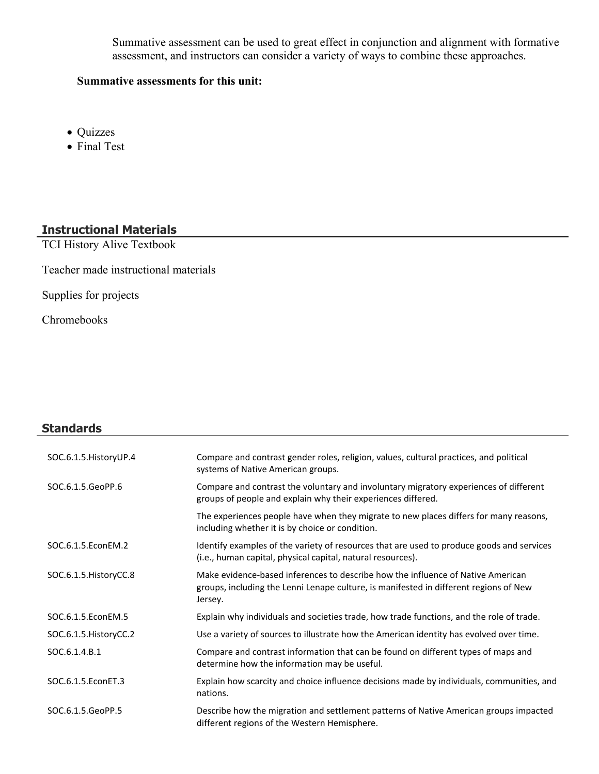Summative assessment can be used to great effect in conjunction and alignment with formative assessment, and instructors can consider a variety of ways to combine these approaches.

#### **Summative assessments for this unit:**

- Quizzes
- Final Test

#### **Instructional Materials**

TCI History Alive Textbook

Teacher made instructional materials

Supplies for projects

Chromebooks

# **Standards** SOC.6.1.5.HistoryUP.4 Compare and contrast gender roles, religion, values, cultural practices, and political systems of Native American groups. SOC.6.1.5.GeoPP.6 Compare and contrast the voluntary and involuntary migratory experiences of different groups of people and explain why their experiences differed. The experiences people have when they migrate to new places differs for many reasons, including whether it is by choice or condition. SOC.6.1.5.EconEM.2 Identify examples of the variety of resources that are used to produce goods and services (i.e., human capital, physical capital, natural resources). SOC.6.1.5.HistoryCC.8 Make evidence-based inferences to describe how the influence of Native American groups, including the Lenni Lenape culture, is manifested in different regions of New Jersey. SOC.6.1.5.EconEM.5 Explain why individuals and societies trade, how trade functions, and the role of trade. SOC.6.1.5.HistoryCC.2 Use a variety of sources to illustrate how the American identity has evolved over time. SOC.6.1.4.B.1 Compare and contrast information that can be found on different types of maps and determine how the information may be useful. SOC.6.1.5.EconET.3 Explain how scarcity and choice influence decisions made by individuals, communities, and nations. SOC.6.1.5.GeoPP.5 Describe how the migration and settlement patterns of Native American groups impacted different regions of the Western Hemisphere.